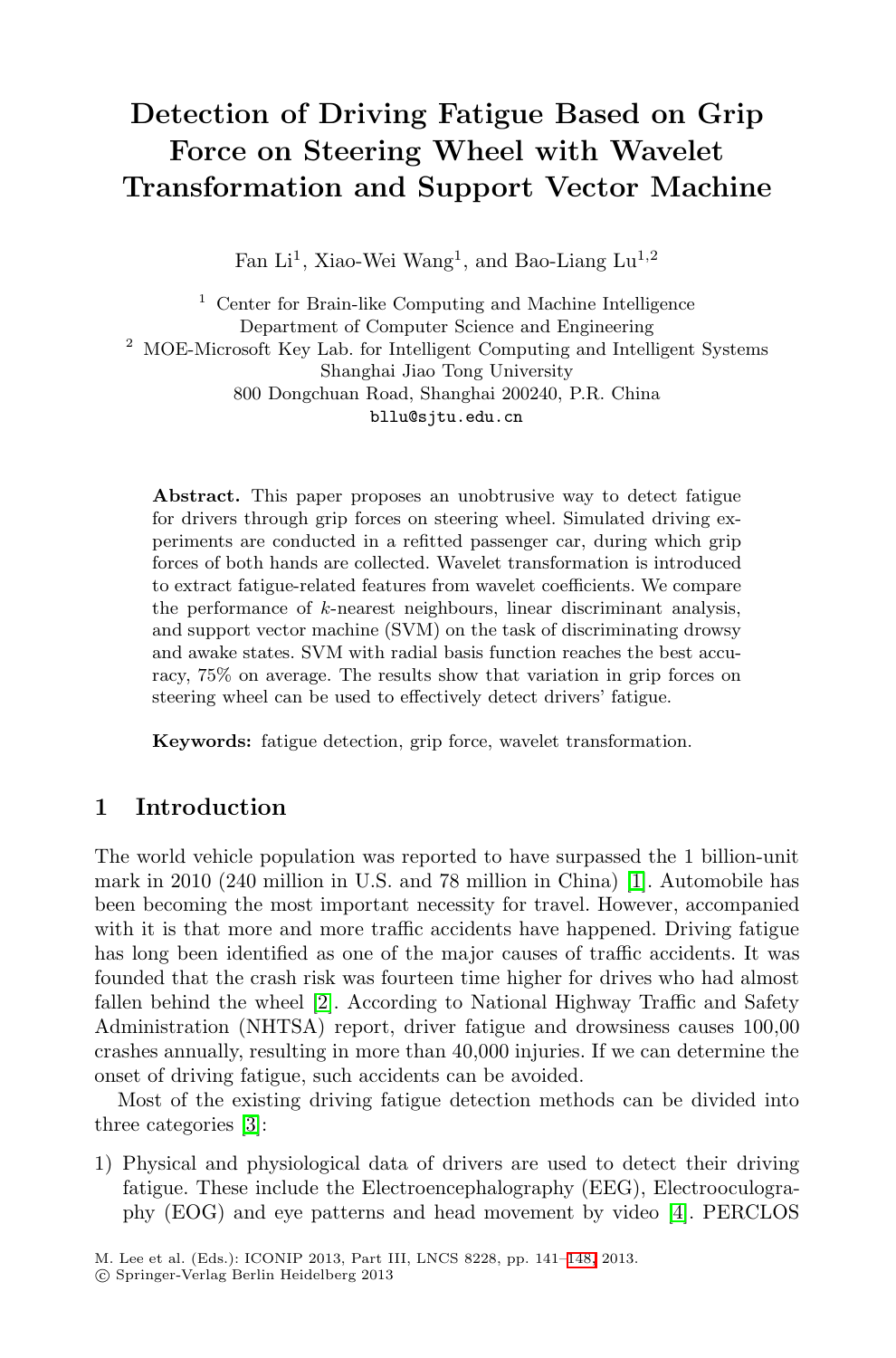# **Detection of Driving Fatigue Based on Grip Force on Steering Wheel with Wavelet Transformation and Support Vector Machine**

Fan Li<sup>1</sup>, Xiao-Wei Wang<sup>1</sup>, and Bao-Liang Lu<sup>1,2</sup>

 $^{\rm 1}$  Center for Brain-like Computing and Machine Intelligence Department of Computer Science and Engineering <sup>2</sup> MOE-Microsoft Key Lab. for Intelligent Computing and Intelligent Systems Shanghai Jiao Tong University 800 Dongchuan Road, Shanghai 200240, P.R. China bllu@sjtu.edu.cn

**Abstract.** This paper proposes an unobtrusive way to detect fatigue for drivers through grip forces on steering wheel. Simulated driving experiments are conducted in a refitted passenger car, during which grip forces of both hands are collected. Wavelet transformation is introduced to extract fatigue-related features from wavelet coefficients. We compare the performance of  $k$ -nearest neighbours, linear discriminant analysis, and support vector machine (SVM) on the task of discriminating drowsy and awake states. SVM with radial basis function reaches the best accuracy, 75% on average. The results show that variation in grip forces on steering wheel can be used to effective[ly](#page-6-0) detect drivers' fatigue.

**Keywords:** fatigue detection, grip force, wavelet transformation.

# **1 I[ntr](#page-6-1)oduction**

The world vehicle population was reported to have surpassed the 1 billion-unit mark in 2010 (240 million in U.S. and 78 million in China) [1]. Automobile has been becoming the most important necessity for travel. However, accompanied [w](#page-6-2)ith it is that more and more traffic accidents have happened. Driving fatigue has long been identified as one of the major causes of traffic accidents. It was founded that the crash risk was fourteen time higher for drives who had almost fallen behind the wheel [2]. According to National Highway Traffic and Safety Administration (NHTSA) report, driver fatig[ue](#page-6-3) and drowsiness causes 100,00 crashes annually, resulting in more than 40,000 injuries. If we can determine the onset of driving fatigue, such accid[ents](#page-7-0) can be avoided.

Most of the existing driving fatigue detection methods can be divided into three categories [3]:

1) Physical and physiological data of drivers are used to detect their driving fatigue. These include the Electroencephalography (EEG), Electrooculography (EOG) and eye patterns and head movement by video [4]. PERCLOS

M. Lee et al. (Eds.): ICONIP 2013, Part III, LNCS 8228, pp. 141–148, 2013.

<sup>-</sup>c Springer-Verlag Berlin Heidelberg 2013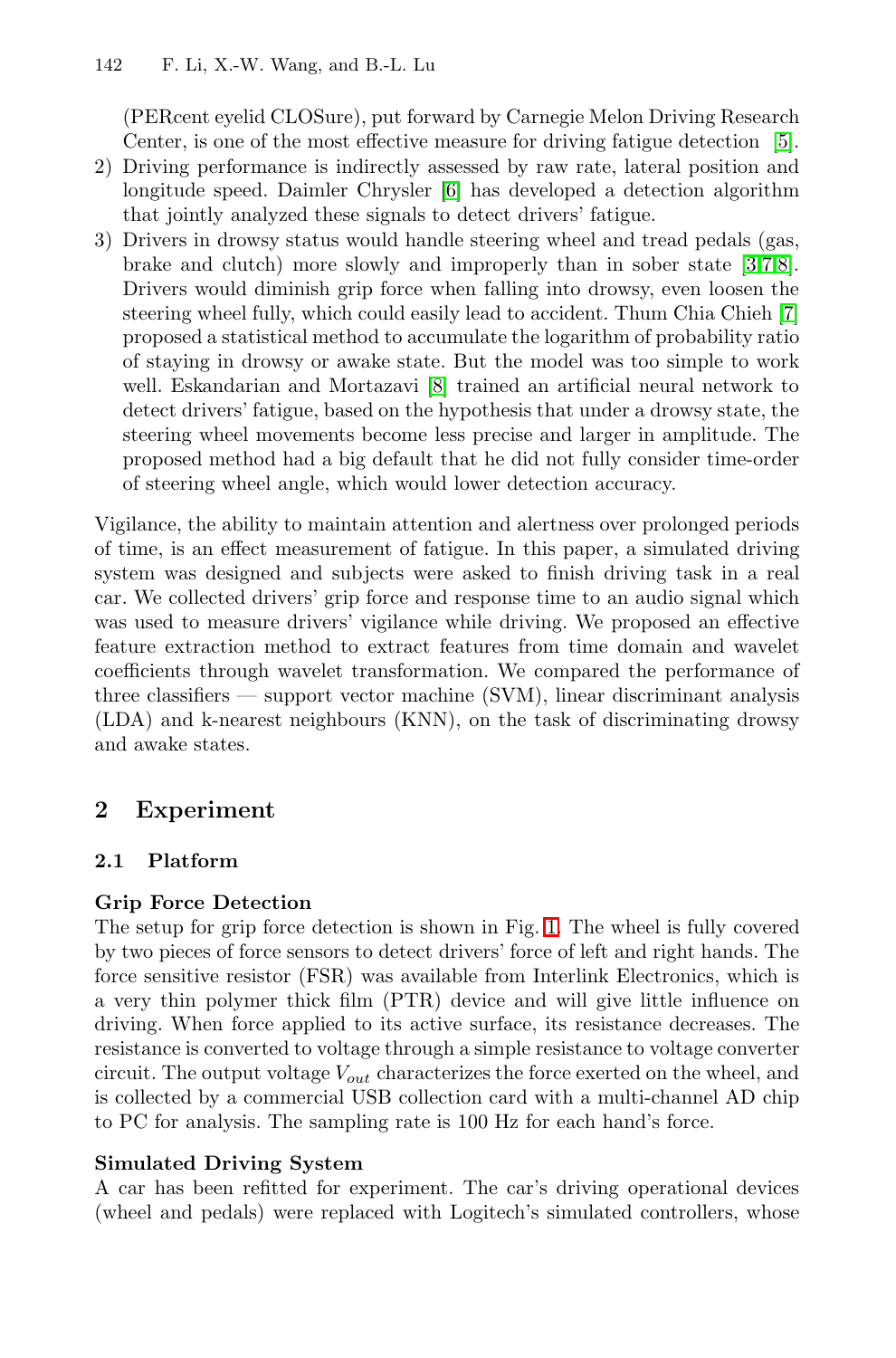(PERcent eyelid CLOSure), put forward by Carnegie Me[lon](#page-7-1) Driving Research Center, is one of the most effective measure for driving fatigue detection [5].

- 2) Driving performance is indirectly assessed by raw rate, lateral position and longitude speed. [D](#page-7-2)aimler Chrysler [6] has developed a detection algorithm that jointly analyzed these signals to detect drivers' fatigue.
- 3) Drivers in drowsy status would handle steering wheel and tread pedals (gas, brake and clutch) more slowly and improperly than in sober state [3,7,8]. Drivers would diminish grip force when falling into drowsy, even loosen the steering wheel fully, which could easily lead to accident. Thum Chia Chieh [7] proposed a statistical method to accumulate the logarithm of probability ratio of staying in drowsy or awake state. But the model was too simple to work well. Eskandarian and Mortazavi [8] trained an artificial neural network to detect drivers' fatigue, based on the hypothesis that under a drowsy state, the steering wheel movements become less precise and larger in amplitude. The proposed method had a big default that he did not fully consider time-order of steering wheel angle, which would lower detection accuracy.

Vigilance, the ability to maintain attention and alertness over prolonged periods of time, is an effect measurement of fatigue. In this paper, a simulated driving system was designed and subjects were asked to finish driving task in a real car. We collected drivers' grip force and response time to an audio signal which was used to measure drivers' vigilance while driving. We proposed an effective feature extraction method to extract features from time domain and wavelet coefficients through wavelet transformation. We compared the performance of three classifiers — support vector machine (SVM), linear discriminant analysis (LDA) and k-nearest neighbours (KNN), on the task of discriminating drowsy and awake states.

# **2 Experiment**

## **2.1 Platform**

## **Grip Force Detection**

The setup for grip force detection is shown in Fig. 1. The wheel is fully covered by two pieces of force sensors to detect drivers' force of left and right hands. The force sensitive resistor (FSR) was available from Interlink Electronics, which is a very thin polymer thick film (PTR) device and will give little influence on driving. When force applied to its active surface, its resistance decreases. The resistance is converted to voltage through a simple resistance to voltage converter circuit. The output voltage <sup>V</sup>*out* characterizes the force exerted on the wheel, and is collected by a commercial USB collection card with a multi-channel AD chip to PC for analysis. The sampling rate is 100 Hz for each hand's force.

#### **Simulated Driving System**

A car has been refitted for experiment. The car's driving operational devices (wheel and pedals) were replaced with Logitech's simulated controllers, whose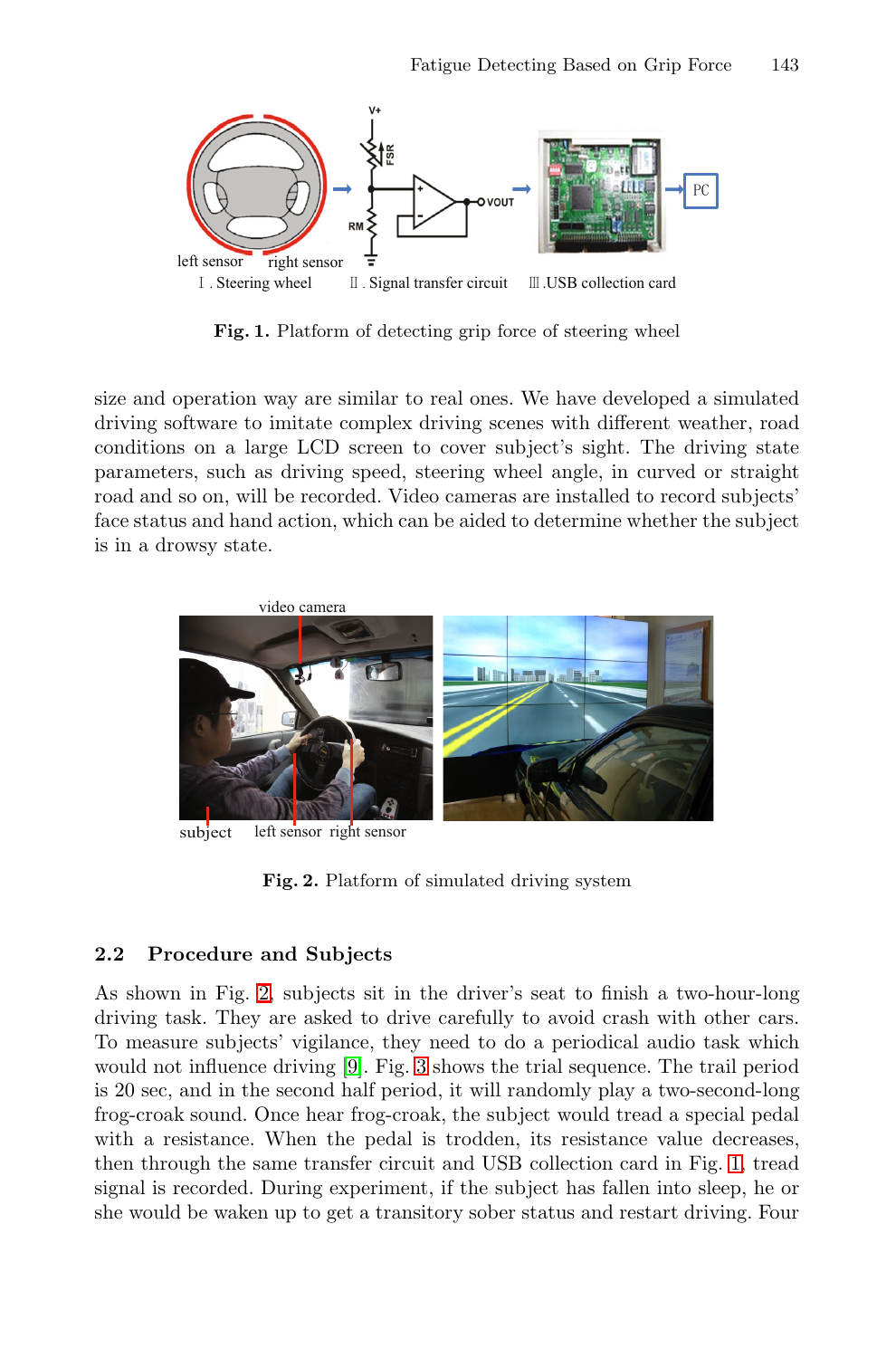<span id="page-2-0"></span>

**Fig. 1.** Platform of detecting grip force of steering wheel

size and operation way are similar to real ones. We have developed a simulated driving software to imitate complex driving scenes with different weather, road conditions on a large LCD screen to cover subject's sight. The driving state parameters, such as driving speed, steering wheel angle, in curved or straight road and so on, will be recorded. Video cameras are installed to record subjects' face status and hand action, which can be aided to determine whether the subject is in a drowsy state.



subject left sensor right sensor

**[F](#page-3-0)ig. 2.** Platform of simulated driving system

## **2.2 Procedure and Subjects**

As shown in Fig. 2, subjects sit in the driver's seat [to](#page-2-0) finish a two-hour-long driving task. They are asked to drive carefully to avoid crash with other cars. To measure subjects' vigilance, they need to do a periodical audio task which would not influence driving [9]. Fig. 3 shows the trial sequence. The trail period is 20 sec, and in the second half period, it will randomly play a two-second-long frog-croak sound. Once hear frog-croak, the subject would tread a special pedal with a resistance. When the pedal is trodden, its resistance value decreases, then through the same transfer circuit and USB collection card in Fig. 1, tread signal is recorded. During experiment, if the subject has fallen into sleep, he or she would be waken up to get a transitory sober status and restart driving. Four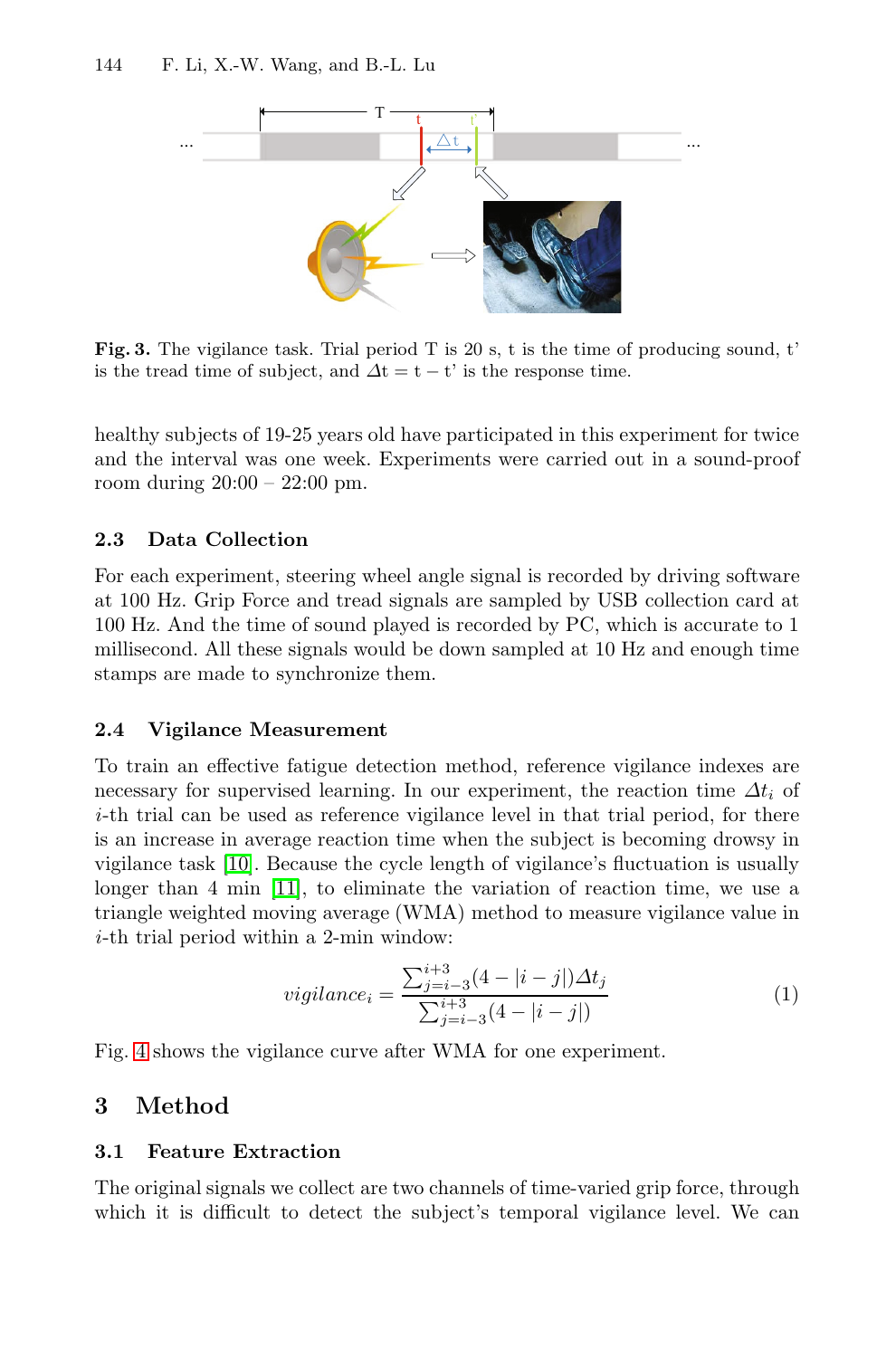<span id="page-3-0"></span>

**Fig. 3.** The vigilance task. Trial period T is 20 s, t is the time of producing sound, t' is the tread time of subject, and  $\Delta t = t - t'$  is the response time.

healthy subjects of 19-25 years old have participated in this experiment for twice and the interval was one week. Experiments were carried out in a sound-proof room during 20:00 – 22:00 pm.

# **2.3 Data Collection**

For each experiment, steering wheel angle signal is recorded by driving software at 100 Hz. Grip Force and tread signals are sampled by USB collection card at 100 Hz. And the time of sound played is recorded by PC, which is accurate to 1 millisecond. All these signals would be down sampled at 10 Hz and enough time stamps are made to synchronize them.

## **2.4 Vigilance Measurement**

To train an effective fatigue detection method, reference vigilance indexes are necessary for supervised learning. In our experiment, the reaction time  $\Delta t_i$  of *i*-th trial can be used as reference vigilance level in that trial period, for there is an increase in average reaction time when the subject is becoming drowsy in vigilance task [10]. Because the cycle length of vigilance's fluctuation is usually longer than 4 min [11], to eliminate the variation of reaction time, we use a triangle weighted moving average (WMA) method to measure vigilance value in *i*-th trial period within a 2-min window:

$$
vigilance_i = \frac{\sum_{j=i-3}^{i+3} (4 - |i - j|) \Delta t_j}{\sum_{j=i-3}^{i+3} (4 - |i - j|)}
$$
(1)

Fig. 4 shows the vigilance curve after WMA for one experiment.

# **3 Method**

## **3.1 Feature Extraction**

The original signals we collect are two channels of time-varied grip force, through which it is difficult to detect the subject's temporal vigilance level. We can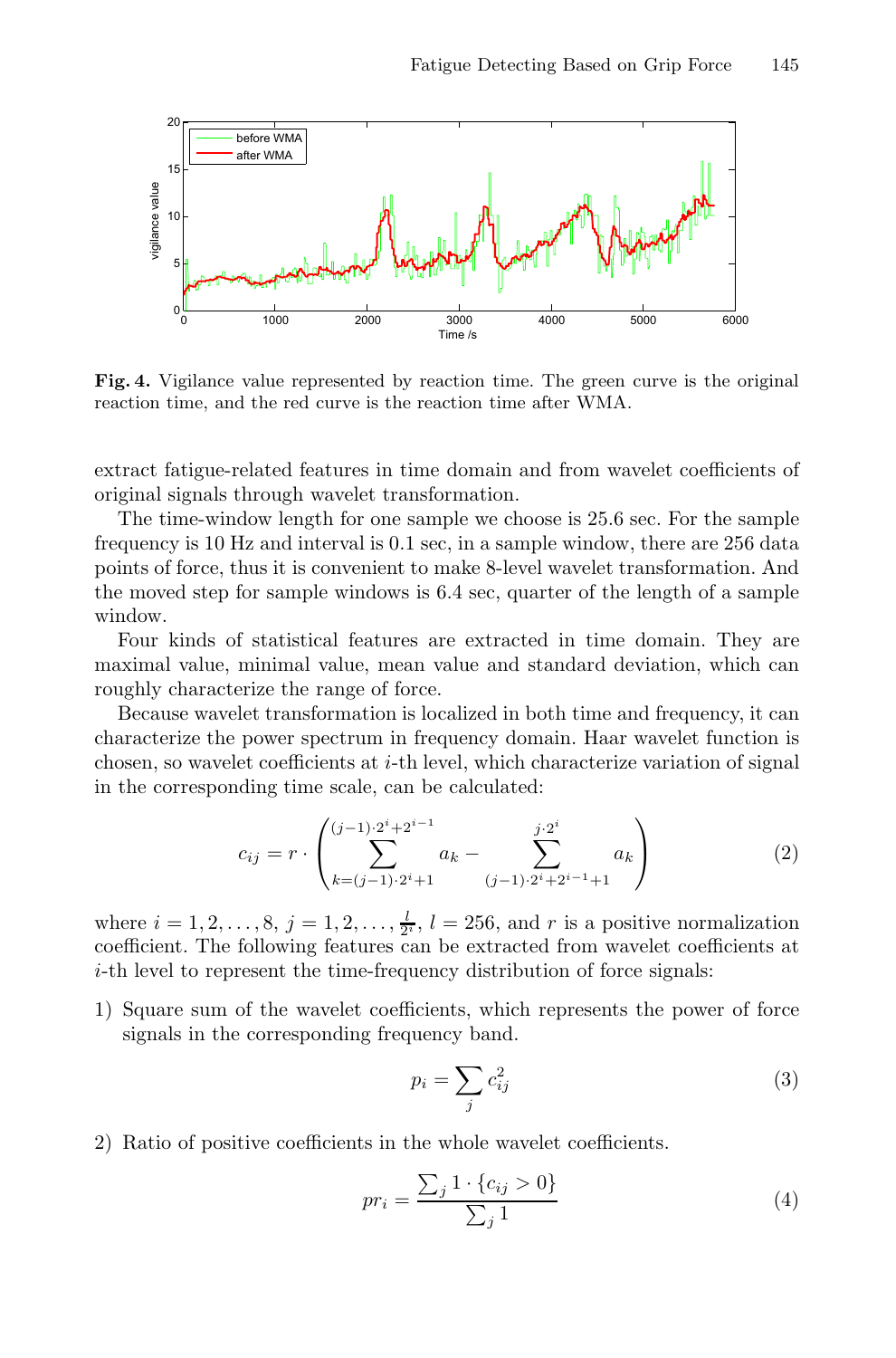

Fig. 4. Vigilance value represented by reaction time. The green curve is the original reaction time, and the red curve is the reaction time after WMA.

extract fatigue-related features in time domain and from wavelet coefficients of original signals through wavelet transformation.

The time-window length for one sample we choose is 25.6 sec. For the sample frequency is 10 Hz and interval is 0.1 sec, in a sample window, there are 256 data points of force, thus it is convenient to make 8-level wavelet transformation. And the moved step for sample windows is 6.4 sec, quarter of the length of a sample window.

Four kinds of statistical features are extracted in time domain. They are maximal value, minimal value, mean value and standard deviation, which can roughly characterize the range of force.

Because wavelet transformation is localized in both time and frequency, it can characterize the power spectrum in frequency domain. Haar wavelet function is chosen, so wavelet coefficients at  $i$ -th level, which characterize variation of signal in the corresponding time scale, can be calculated:

$$
c_{ij} = r \cdot \left( \sum_{k=(j-1)\cdot 2^{i}+1}^{(j-1)\cdot 2^{i}+2^{i-1}} a_k - \sum_{(j-1)\cdot 2^{i}+2^{i-1}+1}^{j\cdot 2^{i}} a_k \right)
$$
(2)

where  $i = 1, 2, ..., 8$ ,  $j = 1, 2, ..., \frac{l}{2^i}$ ,  $l = 256$ , and r is a positive normalization coefficient. The following features can be extracted from wavelet coefficients at coefficient. The following features can be extracted from wavelet coefficients at i-th level to represent the time-frequency distribution of force signals:

1) Square sum of the wavelet coefficients, which represents the power of force signals in the corresponding frequency band.

$$
p_i = \sum_j c_{ij}^2 \tag{3}
$$

2) Ratio of positive coefficients in the whole wavelet coefficients.

$$
pr_i = \frac{\sum_j 1 \cdot \{c_{ij} > 0\}}{\sum_j 1} \tag{4}
$$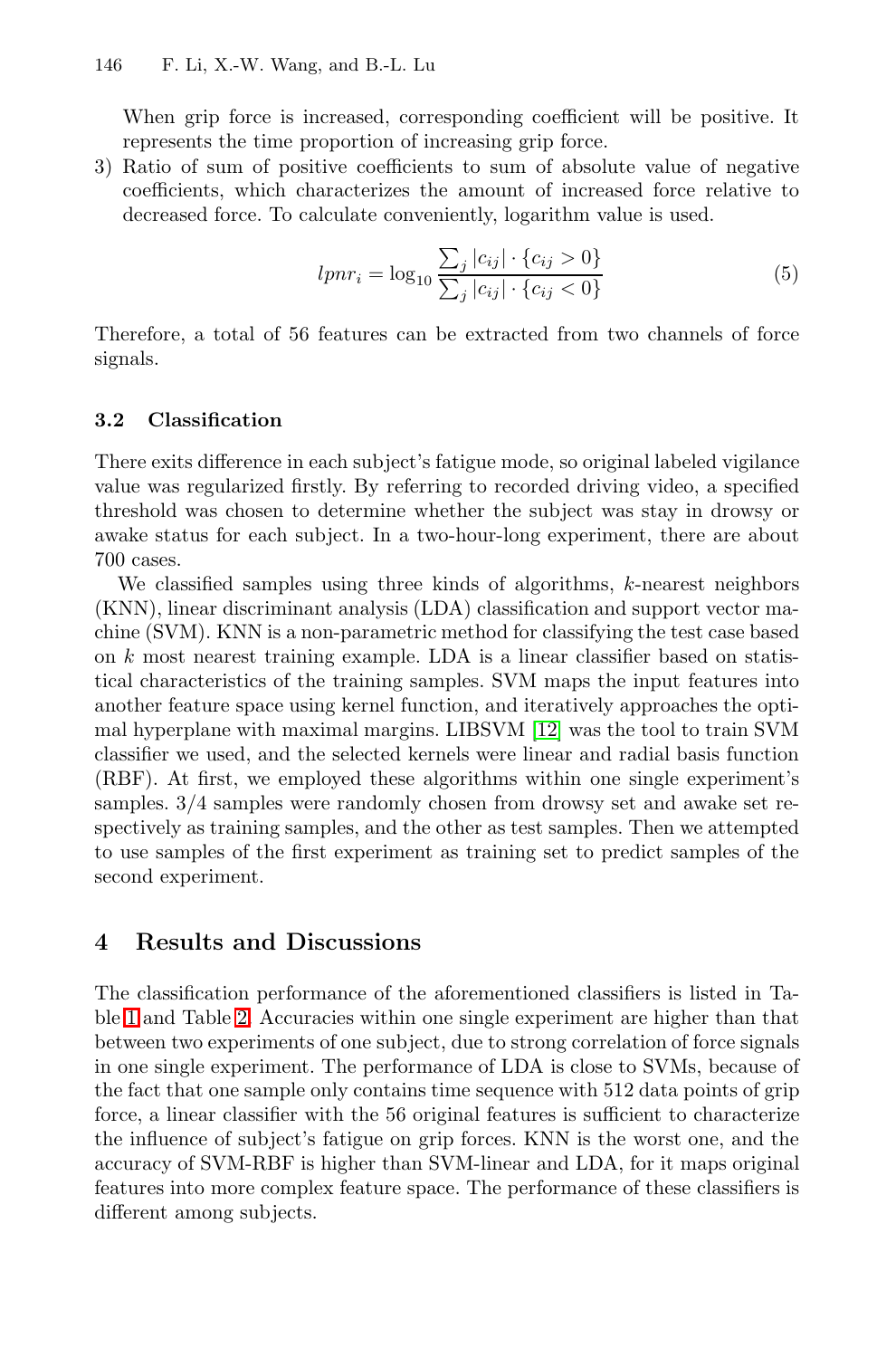When grip force is increased, corresponding coefficient will be positive. It represents the time proportion of increasing grip force.

3) Ratio of sum of positive coefficients to sum of absolute value of negative coefficients, which characterizes the amount of increased force relative to decreased force. To calculate conveniently, logarithm value is used.

$$
lpm_{i} = \log_{10} \frac{\sum_{j} |c_{ij}| \cdot \{c_{ij} > 0\}}{\sum_{j} |c_{ij}| \cdot \{c_{ij} < 0\}}
$$
(5)

Therefore, a total of 56 features can be extracted from two channels of force signals.

## **3.2 Classification**

There exits difference in each subject's fatigue mode, so original labeled vigilance value was regularized firstly. By referring to recorded driving video, a specified threshold was chosen to determine whether the subject was stay in drowsy or awake status for each subject. [In a](#page-7-3) two-hour-long experiment, there are about 700 cases.

We classified samples using three kinds of algorithms, k-nearest neighbors (KNN), linear discriminant analysis (LDA) classification and support vector machine (SVM). KNN is a non-parametric method for classifying the test case based on  $k$  most nearest training example. LDA is a linear classifier based on statistical characteristics of the training samples. SVM maps the input features into another feature space using kernel function, and iteratively approaches the optimal hyperplane with maximal margins. LIBSVM [12] was the tool to train SVM classifier we used, and the selected kernels were linear and radial basis function (RBF). At first, we employed these algorithms within one single experiment's samples. 3/4 samples were randomly chosen from drowsy set and awake set respectively as training samples, and the other as test samples. Then we attempted to use samples of the first experiment as training set to predict samples of the second experiment.

# **4 Results and Discussions**

The classification performance of the aforementioned classifiers is listed in Table 1 and Table 2. Accuracies within one single experiment are higher than that between two experiments of one subject, due to strong correlation of force signals in one single experiment. The performance of LDA is close to SVMs, because of the fact that one sample only contains time sequence with 512 data points of grip force, a linear classifier with the 56 original features is sufficient to characterize the influence of subject's fatigue on grip forces. KNN is the worst one, and the accuracy of SVM-RBF is higher than SVM-linear and LDA, for it maps original features into more complex feature space. The performance of these classifiers is different among subjects.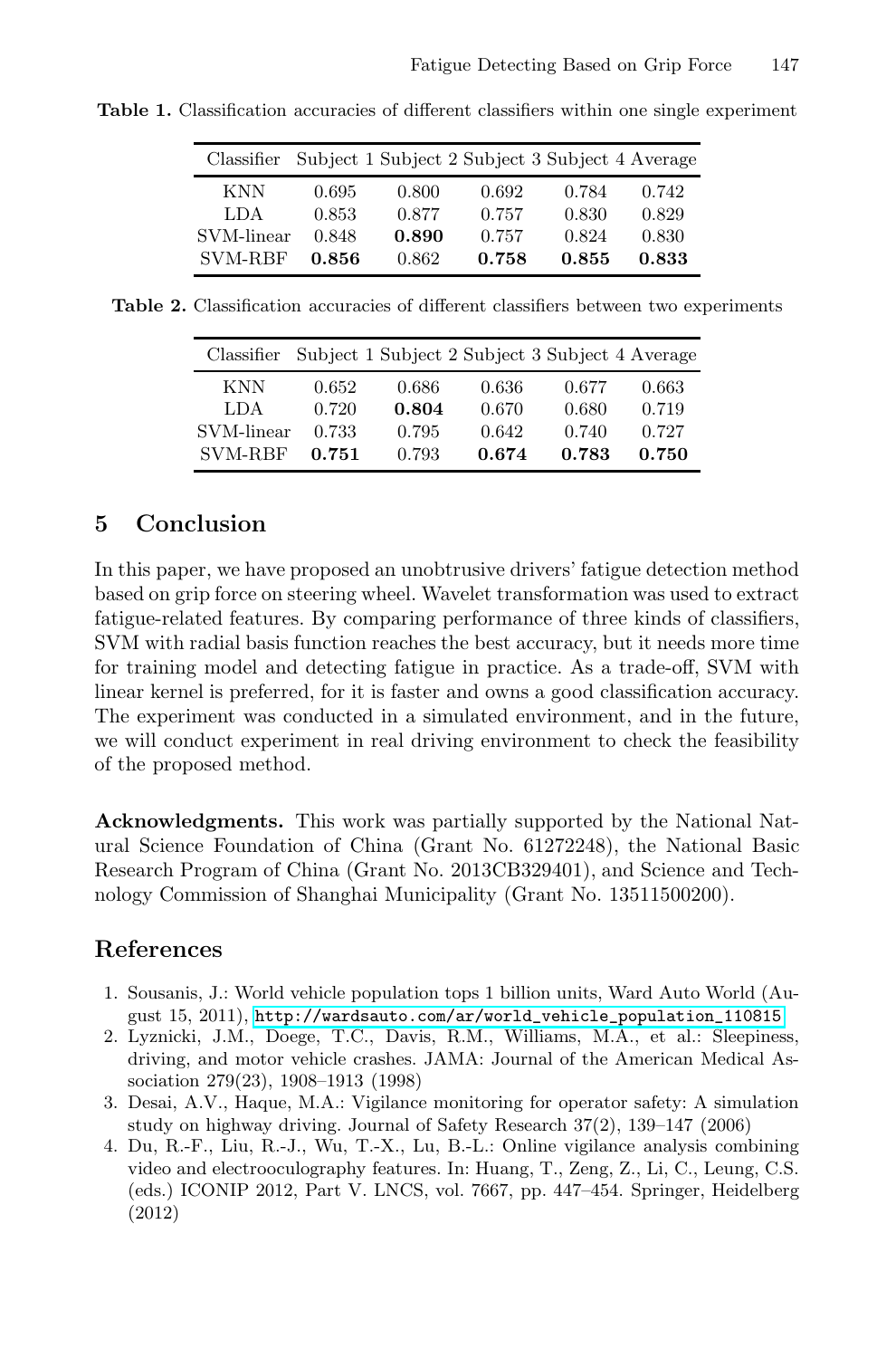| Classifier                       |       |       | Subject 1 Subject 2 Subject 3 Subject 4 Average |       |       |
|----------------------------------|-------|-------|-------------------------------------------------|-------|-------|
| KNN                              | 0.695 | 0.800 | 0.692                                           | 0.784 | 0.742 |
| LDA                              | 0.853 | 0.877 | 0.757                                           | 0.830 | 0.829 |
| $\mathop{\rm SVM\text{-}linear}$ | 0.848 | 0.890 | 0.757                                           | 0.824 | 0.830 |
| <b>SVM-RBF</b>                   | 0.856 | 0.862 | 0.758                                           | 0.855 | 0.833 |

**Table 1.** Classification accuracies of different classifiers within one single experiment

**Table 2.** Classification accuracies of different classifiers between two experiments

| Classifier     |       | Subject 1 Subject 2 Subject 3 Subject 4 Average |       |       |       |
|----------------|-------|-------------------------------------------------|-------|-------|-------|
| <b>KNN</b>     | 0.652 | 0.686                                           | 0.636 | 0.677 | 0.663 |
| <b>LDA</b>     | 0.720 | 0.804                                           | 0.670 | 0.680 | 0.719 |
| SVM-linear     | 0.733 | 0.795                                           | 0.642 | 0.740 | 0.727 |
| <b>SVM-RBF</b> | 0.751 | 0.793                                           | 0.674 | 0.783 | 0.750 |

# **5 Conclusion**

<span id="page-6-1"></span><span id="page-6-0"></span>In this paper, we have proposed an unobtrusive drivers' fatigue detection method based on grip force on steering wheel. Wavelet transformation was used to extract fatigue-related features. By comparing performance of three kinds of classifiers, SVM with radial basis function reaches the best accuracy, but it needs more time for training model and detecting fatigue in practice. As a trade-off, SVM with linear kernel is preferred, for it is faster and owns a good classification accuracy. The experiment was conducted in a simulated environment, and in the future, we will conduct experiment in real driving environment to check the feasibility of the proposed method.

<span id="page-6-3"></span><span id="page-6-2"></span>**Acknowledgments.** [This work was partially supported by](http://wardsauto.com/ar/world_vehicle_population_110815) the National Natural Science Foundation of China (Grant No. 61272248), the National Basic Research Program of China (Grant No. 2013CB329401), and Science and Technology Commission of Shanghai Municipality (Grant No. 13511500200).

# **References**

- 1. Sousanis, J.: World vehicle population tops 1 billion units, Ward Auto World (August 15, 2011), http://wardsauto.com/ar/world\_vehicle\_population\_110815
- 2. Lyznicki, J.M., Doege, T.C., Davis, R.M., Williams, M.A., et al.: Sleepiness, driving, and motor vehicle crashes. JAMA: Journal of the American Medical Association 279(23), 1908–1913 (1998)
- 3. Desai, A.V., Haque, M.A.: Vigilance monitoring for operator safety: A simulation study on highway driving. Journal of Safety Research 37(2), 139–147 (2006)
- 4. Du, R.-F., Liu, R.-J., Wu, T.-X., Lu, B.-L.: Online vigilance analysis combining video and electrooculography features. In: Huang, T., Zeng, Z., Li, C., Leung, C.S. (eds.) ICONIP 2012, Part V. LNCS, vol. 7667, pp. 447–454. Springer, Heidelberg (2012)